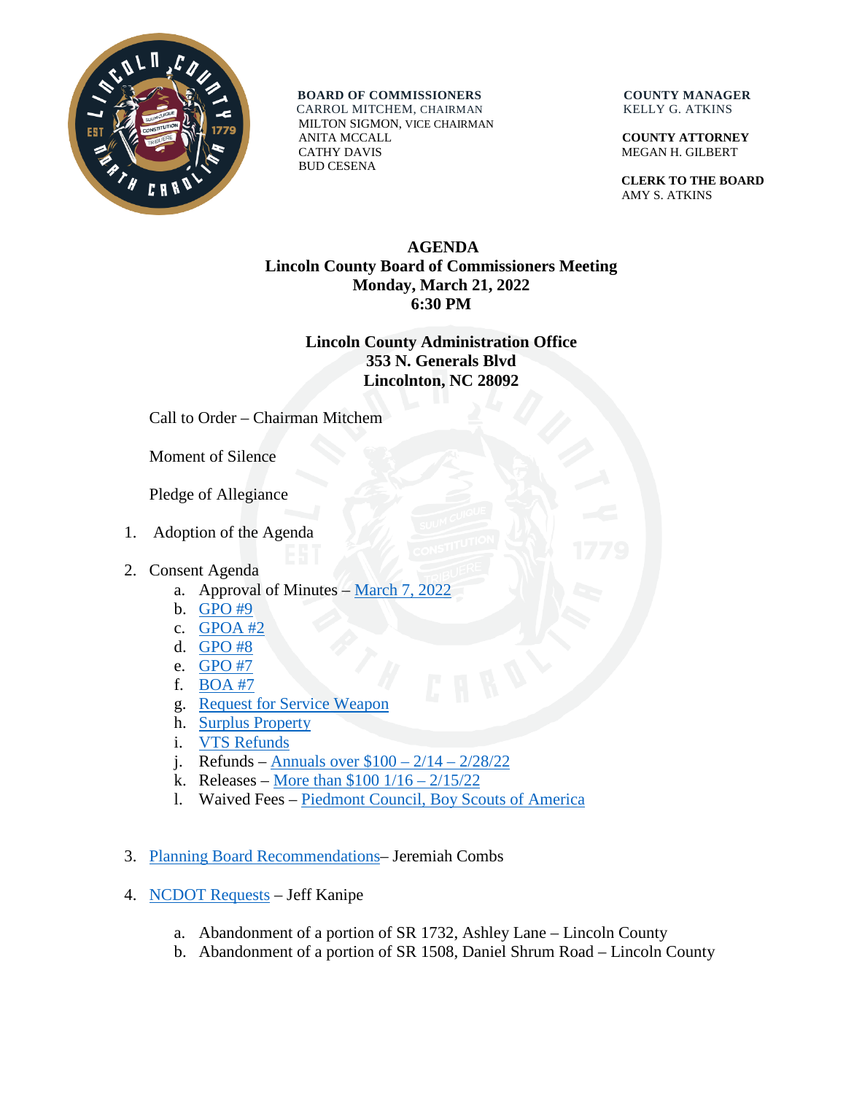

**BOARD OF COMMISSIONERS COUNTY MANAGER** CARROL MITCHEM, CHAIRMAN KELLY G. ATKINS

 MILTON SIGMON, VICE CHAIRMAN ANITA MCCALL **COUNTY ATTORNEY** CATHY DAVIS MEGAN H. GILBERT BUD CESENA

 **CLERK TO THE BOARD** AMY S. ATKINS

## **AGENDA Lincoln County Board of Commissioners Meeting Monday, March 21, 2022 6:30 PM**

## **Lincoln County Administration Office 353 N. Generals Blvd Lincolnton, NC 28092**

Call to Order – Chairman Mitchem

Moment of Silence

Pledge of Allegiance

- 1. Adoption of the Agenda
- 2. Consent Agenda
	- a. Approval of Minutes March [7, 2022](https://www.lincolncounty.org/DocumentCenter/View/18713/032122Item2a)
	- b. [GPO #9](https://www.lincolncounty.org/DocumentCenter/View/18664/032122Item2b)
	- c. [GPOA #2](https://www.lincolncounty.org/DocumentCenter/View/18665/032122Item2c)
	- d. [GPO #8](https://www.lincolncounty.org/DocumentCenter/View/18666/032122Item2d)
	- e. [GPO #7](https://www.lincolncounty.org/DocumentCenter/View/18667/032122Item2e)
	- f. [BOA #7](https://www.lincolncounty.org/DocumentCenter/View/18668/032122Item2f)
	- g. [Request for Service Weapon](https://www.lincolncounty.org/DocumentCenter/View/18669/032122Item2g)
	- h. [Surplus Property](https://www.lincolncounty.org/DocumentCenter/View/18670/032122Item2h)
	- i. [VTS Refunds](https://www.lincolncounty.org/DocumentCenter/View/18671/032122Item2i)
	- j. Refunds Annuals over  $$100 2/14 2/28/22$
	- k. Releases More than  $$100 \frac{1}{16} \frac{2}{15/22}$
	- l. Waived Fees [Piedmont Council, Boy Scouts of America](https://www.lincolncounty.org/DocumentCenter/View/18674/032122Item2l)
- 3. [Planning Board Recommendations–](https://www.lincolncounty.org/DocumentCenter/View/18675/032122Item3) Jeremiah Combs
- 4. [NCDOT Requests](https://www.lincolncounty.org/DocumentCenter/View/18714/032122Item4) Jeff Kanipe
	- a. Abandonment of a portion of SR 1732, Ashley Lane Lincoln County
	- b. Abandonment of a portion of SR 1508, Daniel Shrum Road Lincoln County